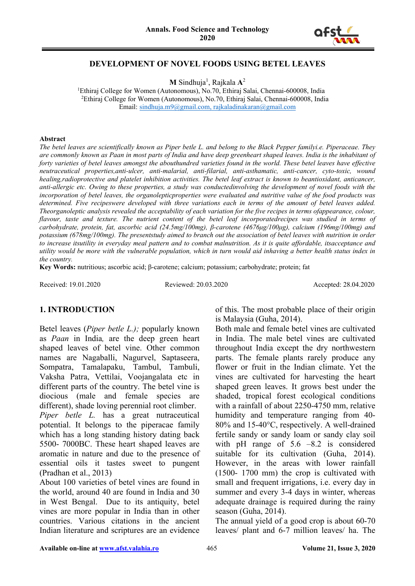

## **DEVELOPMENT OF NOVEL FOODS USING BETEL LEAVES**

**M** Sindhuja<sup>1</sup>, Rajkala A<sup>2</sup>

<sup>1</sup>Ethiraj College for Women (Autonomous), No.70, Ethiraj Salai, Chennai-600008, India 2 Ethiraj College for Women (Autonomous), No.70, Ethiraj Salai, Chennai-600008, India Email: [sindhuja.m9@gmail.com,](mailto:sindhuja.m9@gmail.com) [rajkaladinakaran@gmail.com](mailto:rajkaladinakaran@gmail.com)

#### **Abstract**

*The betel leaves are scientifically known as Piper betle L. and belong to the Black Pepper familyi.e. Piperaceae. They are commonly known as Paan in most parts of India and have deep greenheart shaped leaves. India is the inhabitant of forty varieties of betel leaves amongst the abouthundred varieties found in the world. These betel leaves have effective neutraceutical properties,anti-ulcer, anti-malarial, anti-filarial, anti-asthamatic, anti-cancer, cyto-toxic, wound healing,radioprotective and platelet inhibition activities. The betel leaf extract is known to beantioxidant, anticancer, anti-allergic etc. Owing to these properties, a study was conductedinvolving the development of novel foods with the incorporation of betel leaves, the organolepticproperties were evaluated and nutritive value of the food products was determined. Five recipeswere developed with three variations each in terms of the amount of betel leaves added. Theorganoleptic analysis revealed the acceptability of each variation for the five recipes in terms ofappearance, colour, flavour, taste and texture. The nutrient content of the betel leaf incorporatedrecipes was studied in terms of carbohydrate, protein, fat, ascorbic acid (24.5mg/100mg), β-carotene (4676μg/100μg), calcium (196mg/100mg) and potassium (678mg/100mg). The presentstudy aimed to branch out the association of betel leaves with nutrition in order to increase itsutility in everyday meal pattern and to combat malnutrition. As it is quite affordable, itsacceptance and utility would be more with the vulnerable population, which in turn would aid inhaving a better health status index in the country.*

**Key Words:** nutritious; ascorbic acid; β-carotene; calcium; potassium; carbohydrate; protein; fat

Received: 19.01.2020 Reviewed: 20.03.2020 Accepted: 28.04.2020

# **1. INTRODUCTION**

Betel leaves (*Piper betle L.);* popularly known as *Paan* in India*,* are the deep green heart shaped leaves of betel vine. Other common names are Nagaballi, Nagurvel, Saptaseera, Sompatra, Tamalapaku, Tambul, Tambuli, Vaksha Patra, Vettilai, Voojangalata etc in different parts of the country. The betel vine is diocious (male and female species are different), shade loving perennial root climber.

*Piper betle L.* has a great nutraceutical potential. It belongs to the piperacae family which has a long standing history dating back 5500- 7000BC. These heart shaped leaves are aromatic in nature and due to the presence of essential oils it tastes sweet to pungent (Pradhan et al., 2013)

About 100 varieties of betel vines are found in the world, around 40 are found in India and 30 in West Bengal. Due to its antiquity, betel vines are more popular in India than in other countries. Various citations in the ancient Indian literature and scriptures are an evidence of this. The most probable place of their origin is Malaysia (Guha, 2014).

Both male and female betel vines are cultivated in India. The male betel vines are cultivated throughout India except the dry northwestern parts. The female plants rarely produce any flower or fruit in the Indian climate. Yet the vines are cultivated for harvesting the heart shaped green leaves. It grows best under the shaded, tropical forest ecological conditions with a rainfall of about 2250-4750 mm, relative humidity and temperature ranging from 40- 80% and 15-40°C, respectively. A well-drained fertile sandy or sandy loam or sandy clay soil with pH range of 5.6 –8.2 is considered suitable for its cultivation (Guha, 2014). However, in the areas with lower rainfall (1500- 1700 mm) the crop is cultivated with small and frequent irrigations, i.e. every day in summer and every 3-4 days in winter, whereas adequate drainage is required during the rainy season (Guha, 2014).

The annual yield of a good crop is about 60-70 leaves/ plant and 6-7 million leaves/ ha. The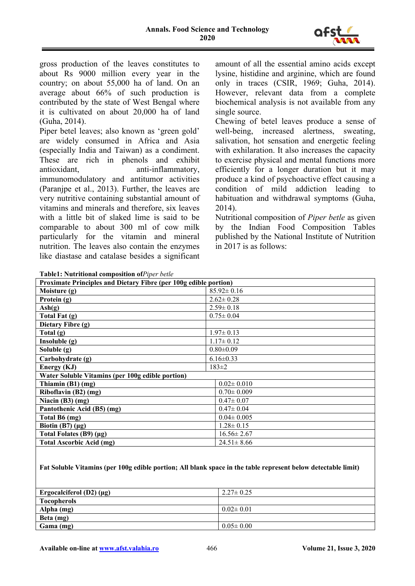

gross production of the leaves constitutes to about Rs 9000 million every year in the country; on about 55,000 ha of land. On an average about 66% of such production is contributed by the state of West Bengal where it is cultivated on about 20,000 ha of land (Guha, 2014).

Piper betel leaves; also known as 'green gold' are widely consumed in Africa and Asia (especially India and Taiwan) as a condiment. These are rich in phenols and exhibit antioxidant, anti-inflammatory, immunomodulatory and antitumor activities (Paranjpe et al., 2013). Further, the leaves are very nutritive containing substantial amount of vitamins and minerals and therefore, six leaves with a little bit of slaked lime is said to be comparable to about 300 ml of cow milk particularly for the vitamin and mineral nutrition. The leaves also contain the enzymes like diastase and catalase besides a significant

amount of all the essential amino acids except lysine, histidine and arginine, which are found only in traces (CSIR, 1969; Guha, 2014). However, relevant data from a complete biochemical analysis is not available from any single source.

Chewing of betel leaves produce a sense of well-being, increased alertness, sweating, salivation, hot sensation and energetic feeling with exhilaration. It also increases the capacity to exercise physical and mental functions more efficiently for a longer duration but it may produce a kind of psychoactive effect causing a condition of mild addiction leading to habituation and withdrawal symptoms (Guha, 2014).

Nutritional composition of *Piper betle* as given by the Indian Food Composition Tables published by the National Institute of Nutrition in 2017 is as follows:

| Table1: Nutritional composition of Piper betle |  |  |
|------------------------------------------------|--|--|
|------------------------------------------------|--|--|

| <b>Proximate Principles and Dietary Fibre (per 100g edible portion)</b> |                  |  |  |  |  |  |
|-------------------------------------------------------------------------|------------------|--|--|--|--|--|
| Moisture (g)                                                            | $85.92 \pm 0.16$ |  |  |  |  |  |
| Protein (g)                                                             | $2.62 \pm 0.28$  |  |  |  |  |  |
| $\text{Ash}(g)$                                                         | $2.59 \pm 0.18$  |  |  |  |  |  |
| Total Fat (g)                                                           | $0.75 \pm 0.04$  |  |  |  |  |  |
| Dietary Fibre (g)                                                       |                  |  |  |  |  |  |
| Total $(g)$                                                             | $1.97 \pm 0.13$  |  |  |  |  |  |
| Insoluble(g)                                                            | $1.17 \pm 0.12$  |  |  |  |  |  |
| Soluble (g)                                                             | $0.80 \pm 0.09$  |  |  |  |  |  |
| Carbohydrate (g)                                                        | $6.16 \pm 0.33$  |  |  |  |  |  |
| Energy (KJ)                                                             | $183 \pm 2$      |  |  |  |  |  |
| Water Soluble Vitamins (per 100g edible portion)                        |                  |  |  |  |  |  |
| Thiamin $(B1)$ (mg)                                                     | $0.02 \pm 0.010$ |  |  |  |  |  |
| Riboflavin (B2) (mg)                                                    | $0.70 \pm 0.009$ |  |  |  |  |  |
| Niacin $(B3)(mg)$                                                       | $0.47 \pm 0.07$  |  |  |  |  |  |
| Pantothenic Acid (B5) (mg)                                              | $0.47 \pm 0.04$  |  |  |  |  |  |
| Total B6 (mg)                                                           | $0.04 \pm 0.005$ |  |  |  |  |  |
| Biotin (B7) $(\mu g)$                                                   | $1.28 \pm 0.15$  |  |  |  |  |  |
| Total Folates (B9) (μg)                                                 | $16.56 \pm 2.67$ |  |  |  |  |  |
| <b>Total Ascorbic Acid (mg)</b>                                         | $24.51 \pm 8.66$ |  |  |  |  |  |

**Fat Soluble Vitamins (per 100g edible portion; All blank space in the table represent below detectable limit)**

| Ergocalciferol $(D2)$ ( $\mu$ g) | $2.27 \pm 0.25$ |
|----------------------------------|-----------------|
| <b>Tocopherols</b>               |                 |
| Alpha (mg)                       | $0.02 \pm 0.01$ |
| Beta (mg)                        |                 |
| Gama (mg)                        | $0.05 \pm 0.00$ |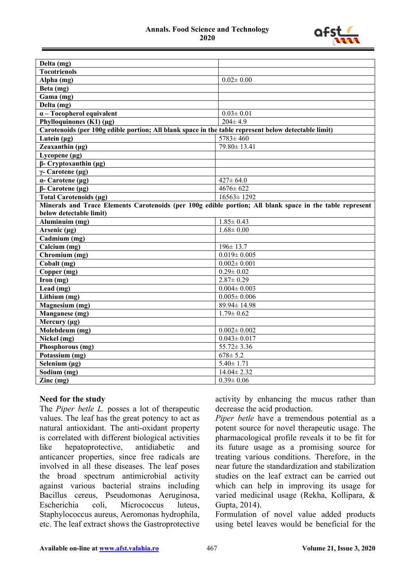

| Delta (mg)                                                                                               |                   |
|----------------------------------------------------------------------------------------------------------|-------------------|
| <b>Tocotrienols</b>                                                                                      |                   |
| Alpha (mg)                                                                                               | $0.02 \pm 0.00$   |
| Beta (mg)                                                                                                |                   |
| Gama (mg)                                                                                                |                   |
| Delta (mg)                                                                                               |                   |
| $\alpha$ – Tocopherol equivalent                                                                         | $0.03 \pm 0.01$   |
| Phylloquinones $(K1)(\mu g)$                                                                             | $204 \pm 4.9$     |
| Carotenoids (per 100g edible portion; All blank space in the table represent below detectable limit)     |                   |
| Lutein $(\mu g)$                                                                                         | $5783 \pm 460$    |
| Zeaxanthin (µg)                                                                                          | 79.80±13.41       |
| Lycopene $(\mu g)$                                                                                       |                   |
| $\beta$ - Cryptoxanthin (µg)                                                                             |                   |
| $\gamma$ - Carotene (µg)                                                                                 |                   |
| $\alpha$ - Carotene (µg)                                                                                 | $427 \pm 64.0$    |
| $\beta$ - Carotene (µg)                                                                                  | $4676 \pm 622$    |
| Total Carotenoids (µg)                                                                                   | $16563 \pm 1292$  |
| Minerals and Trace Elements Carotenoids (per 100g edible portion; All blank space in the table represent |                   |
| below detectable limit)                                                                                  |                   |
| $\overline{\text{Al}}$ uminuim (mg)                                                                      | $1.85 \pm 0.43$   |
| Arsenic $(\mu g)$                                                                                        | $1.68 \pm 0.00$   |
| Cadmium (mg)                                                                                             |                   |
| Calcium (mg)                                                                                             | $196 \pm 13.7$    |
| Chromium (mg)                                                                                            | $0.019 \pm 0.005$ |
| Cobalt (mg)                                                                                              | $0.002 \pm 0.001$ |
| Copper (mg)                                                                                              | $0.29 \pm 0.02$   |
| Iron $(mg)$                                                                                              | $2.87 \pm 0.29$   |
| Lead (mg)                                                                                                | $0.004 \pm 0.003$ |
| Lithium (mg)                                                                                             | $0.005 \pm 0.006$ |
| Magnesium (mg)                                                                                           | 89.94±14.98       |
| Manganese (mg)                                                                                           | $1.79 \pm 0.62$   |
| Mercury $(\mu g)$                                                                                        |                   |
| Molebdeum (mg)                                                                                           | $0.002 \pm 0.002$ |
| Nickel (mg)                                                                                              | $0.043 \pm 0.017$ |
| Phosphorous (mg)                                                                                         | $55.72 \pm 3.36$  |
| Potassium (mg)                                                                                           | $678 \pm 5.2$     |
| Selenium $(\mu g)$                                                                                       | $5.40 \pm 1.71$   |
| Sodium (mg)                                                                                              | $14.04 \pm 2.32$  |
| $\text{Zinc} \text{ (mg)}$                                                                               | $0.39 \pm 0.06$   |

## **Need for the study**

The *Piper betle L.* posses a lot of therapeutic values. The leaf has the great potency to act as natural antioxidant. The anti-oxidant property is correlated with different biological activities like hepatoprotective, antidiabetic and anticancer properties, since free radicals are involved in all these diseases. The leaf poses the broad spectrum antimicrobial activity against various bacterial strains including Bacillus cereus, Pseudomonas Aeruginosa, Escherichia coli, Micrococcus luteus, Staphylococcus aureus, Aeromonas hydrophila, etc. The leaf extract shows the Gastroprotective

activity by enhancing the mucus rather than decrease the acid production.

*Piper betle* have a tremendous potential as a potent source for novel therapeutic usage. The pharmacological profile reveals it to be fit for its future usage as a promising source for treating various conditions. Therefore, in the near future the standardization and stabilization studies on the leaf extract can be carried out which can help in improving its usage for varied medicinal usage (Rekha, Kollipara, & Gupta, 2014).

Formulation of novel value added products using betel leaves would be beneficial for the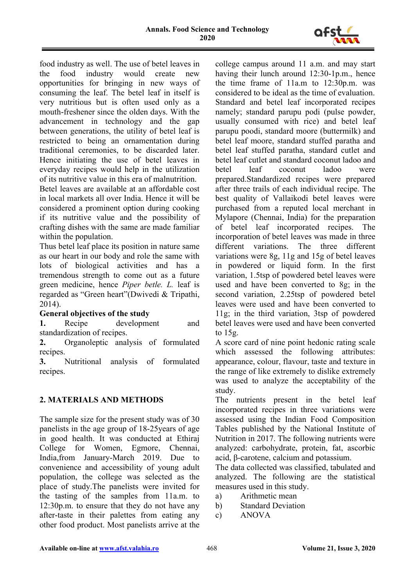

food industry as well. The use of betel leaves in the food industry would create new opportunities for bringing in new ways of consuming the leaf. The betel leaf in itself is very nutritious but is often used only as a mouth-freshener since the olden days. With the advancement in technology and the gap between generations, the utility of betel leaf is restricted to being an ornamentation during traditional ceremonies, to be discarded later. Hence initiating the use of betel leaves in everyday recipes would help in the utilization of its nutritive value in this era of malnutrition.

Betel leaves are available at an affordable cost in local markets all over India. Hence it will be considered a prominent option during cooking if its nutritive value and the possibility of crafting dishes with the same are made familiar within the population.

Thus betel leaf place its position in nature same as our heart in our body and role the same with lots of biological activities and has a tremendous strength to come out as a future green medicine, hence *Piper betle. L.* leaf is regarded as "Green heart"(Dwivedi & Tripathi, 2014).

## **General objectives of the study**

**1.** Recipe development and standardization of recipes.

**2.** Organoleptic analysis of formulated recipes.

**3.** Nutritional analysis of formulated recipes.

# **2. MATERIALS AND METHODS**

The sample size for the present study was of 30 panelists in the age group of 18-25years of age in good health. It was conducted at Ethiraj College for Women, Egmore, Chennai, India,from January-March 2019. Due to convenience and accessibility of young adult population, the college was selected as the place of study.The panelists were invited for the tasting of the samples from 11a.m. to 12:30p.m. to ensure that they do not have any after-taste in their palettes from eating any other food product. Most panelists arrive at the college campus around 11 a.m. and may start having their lunch around 12:30-1p.m., hence the time frame of 11a.m to 12:30p.m. was considered to be ideal as the time of evaluation. Standard and betel leaf incorporated recipes namely; standard parupu podi (pulse powder, usually consumed with rice) and betel leaf parupu poodi, standard moore (buttermilk) and betel leaf moore, standard stuffed paratha and betel leaf stuffed paratha, standard cutlet and betel leaf cutlet and standard coconut ladoo and betel leaf coconut ladoo were prepared.Standardized recipes were prepared after three trails of each individual recipe. The best quality of Vallaikodi betel leaves were purchased from a reputed local merchant in Mylapore (Chennai, India) for the preparation of betel leaf incorporated recipes. The incorporation of betel leaves was made in three different variations. The three different variations were 8g, 11g and 15g of betel leaves in powdered or liquid form. In the first variation, 1.5tsp of powdered betel leaves were used and have been converted to 8g; in the second variation, 2.25tsp of powdered betel leaves were used and have been converted to 11g; in the third variation, 3tsp of powdered betel leaves were used and have been converted to 15g.

A score card of nine point hedonic rating scale which assessed the following attributes: appearance, colour, flavour, taste and texture in the range of like extremely to dislike extremely was used to analyze the acceptability of the study.

The nutrients present in the betel leaf incorporated recipes in three variations were assessed using the Indian Food Composition Tables published by the National Institute of Nutrition in 2017. The following nutrients were analyzed: carbohydrate, protein, fat, ascorbic acid, β-carotene, calcium and potassium.

The data collected was classified, tabulated and analyzed. The following are the statistical measures used in this study.

- a) Arithmetic mean
- b) Standard Deviation
- c) ANOVA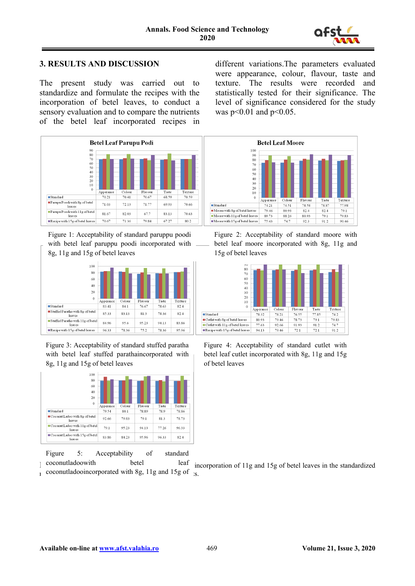

## **3. RESULTS AND DISCUSSION**

The present study was carried out to standardize and formulate the recipes with the incorporation of betel leaves, to conduct a sensory evaluation and to compare the nutrients of the betel leaf incorporated recipes in



Figure 1: Acceptability of standard paruppu poodi with betel leaf paruppu poodi incorporated with 8g, 11g and 15g of betel leaves



Figure 3: Acceptability of standard stuffed paratha with betel leaf stuffed parathaincorporated with 8g, 11g and 15g of betel leaves



Figure 5: Acceptability of standard

 $\log$  coconutladoowith

 $r_1$  coconutladooincorporated with 8g, 11g and 15g of  $r_2$ ,

different variations.The parameters evaluated were appearance, colour, flavour, taste and texture. The results were recorded and statistically tested for their significance. The level of significance considered for the study was  $p<0.01$  and  $p<0.05$ .



Figure 2: Acceptability of standard moore with betel leaf moore incorporated with 8g, 11g and 15g of betel leaves



Figure 4: Acceptability of standard cutlet with betel leaf cutlet incorporated with 8g, 11g and 15g of betel leaves

betel leaf incorporation of 11g and 15g of betel leaves in the standardized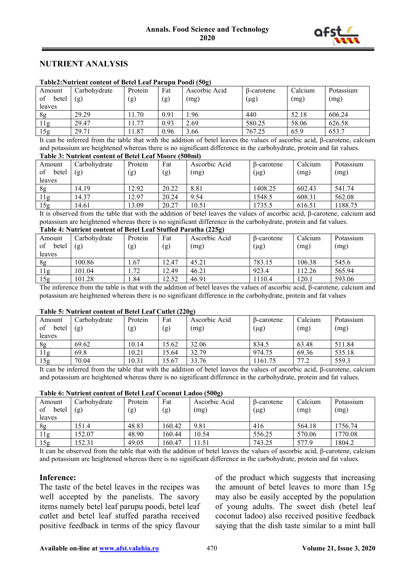

## **NUTRIENT ANALYSIS**

| Table is variable content of better from 1 and pu 1 oour (50g) |                    |         |        |                    |            |                    |           |  |  |
|----------------------------------------------------------------|--------------------|---------|--------|--------------------|------------|--------------------|-----------|--|--|
| Amount                                                         | Carbohydrate       | Protein | Fat    | Ascorbic Acid      | B-carotene | Calcium            | Potassium |  |  |
| of<br>betel                                                    | (g)                | (g)     | (g)    | (mg)               | $(\mu g)$  | (mg)               | (mg)      |  |  |
| leaves                                                         |                    |         |        |                    |            |                    |           |  |  |
| 8g                                                             | 29.29              | 1.70    | 0.91   | 1.96               | 440        | 52.18              | 606.24    |  |  |
| 11g                                                            | 29.47              | 1.77    | 0.93   | 2.69               | 580.25     | 58.06              | 626.58    |  |  |
| 15g                                                            | 29.71              | 1.87    | 0.96   | 3.66               | 767.25     | 65.9               | 653.7     |  |  |
|                                                                | .<br>$\sim$ $\sim$ | .       | .<br>. | $\sim$ $\sim$<br>. | $\sim$     | .<br>$\sim$ $\sim$ |           |  |  |

#### **Table2:Nutrient content of Betel Leaf Parupu Poodi (50g)**

It can be inferred from the table that with the addition of betel leaves the values of ascorbic acid, β-carotene, calcium and potassium are heightened whereas there is no significant difference in the carbohydrate, protein and fat values. **Table 3: Nutrient content of Betel Leaf Moore (500ml)**

| TADIV OF THAM IVIIV CONVENT OF DOUGLADUM THOUT COUDING |                     |                |            |                       |                         |                 |                   |  |  |
|--------------------------------------------------------|---------------------|----------------|------------|-----------------------|-------------------------|-----------------|-------------------|--|--|
| Amount<br>of<br>betel<br>leaves                        | Carbohydrate<br>(g) | Protein<br>(g) | Fat<br>(g) | Ascorbic Acid<br>(mg) | B-carotene<br>$(\mu g)$ | Calcium<br>(mg) | Potassium<br>(mg) |  |  |
| 8g                                                     | 14.19               | 12.92          | 20.22      | 8.81                  | 1408.25                 | 602.43          | 541.74            |  |  |
| 11g                                                    | 14.37               | 12.97          | 20.24      | 9.54                  | 1548.5                  | 608.31          | 562.08            |  |  |
| 15g                                                    | 14.61               | 13.09          | 20.27      | 10.51                 | 1735.5                  | 616.51          | 1188.75           |  |  |

It is observed from the table that with the addition of betel leaves the values of ascorbic acid, β-carotene, calcium and potassium are heightened whereas there is no significant difference in the carbohydrate, protein and fat values.

# **Table 4: Nutrient content of Betel Leaf Stuffed Paratha (225g)**

| Amount         | Carbohydrate | Protein | Fat   | Ascorbic Acid | $\beta$ -carotene | Calcium | Potassium |
|----------------|--------------|---------|-------|---------------|-------------------|---------|-----------|
| of<br>betel    | (g)          | (g)     | (g)   | (mg)          | $(\mu g)$         | (mg)    | (mg)      |
| leaves         |              |         |       |               |                   |         |           |
| 8g             | 100.86       | . .67   | 12.47 | 45.21         | 783.15            | 106.38  | 545.6     |
| 1 <sub>g</sub> | 101.04       | 1.72    | 12.49 | 46.21         | 923.4             | 112.26  | 565.94    |
| 15g            | 101.28       | 1.84    | 12.52 | 46.91         | 110.4             | 120.1   | 593.06    |

The inference from the table is that with the addition of betel leaves the values of ascorbic acid, β-carotene, calcium and potassium are heightened whereas there is no significant difference in the carbohydrate, protein and fat values

#### **Table 5: Nutrient content of Betel Leaf Cutlet (220g)**

|                       |                     |                |            | - 57                  |                         |                 |                   |
|-----------------------|---------------------|----------------|------------|-----------------------|-------------------------|-----------------|-------------------|
| Amount<br>of<br>betel | Carbohvdrate<br>(g) | Protein<br>(g) | Fat<br>(g) | Ascorbic Acid<br>(mg) | B-carotene<br>$(\mu g)$ | Calcium<br>(mg) | Potassium<br>(mg) |
| leaves                |                     |                |            |                       |                         |                 |                   |
| 8g                    | 69.62               | 10.14          | 15.62      | 32.06                 | 834.5                   | 63.48           | 511.84            |
| 1 <sub>g</sub>        | 69.8                | 10.21          | 15.64      | 32.79                 | 974.75                  | 69.36           | 535.18            |
| 15g                   | 70.04               | 10.31          | 15.67      | 33.76                 | 161.75                  | 77.2            | 559.3             |

It can be inferred from the table that with the addition of betel leaves the values of ascorbic acid, β-carotene, calcium and potassium are heightened whereas there is no significant difference in the carbohydrate, protein and fat values.

#### **Table 6: Nutrient content of Betel Leaf Coconut Ladoo (500g)**

| Amount<br>of<br>betel<br>leaves | Carbohydrate<br>(g) | Protein<br>(g) | Fat<br>(g) | Ascorbic Acid<br>(mg) | B-carotene<br>$(\mu g)$ | Calcium<br>(mg) | Potassium<br>(mg) |
|---------------------------------|---------------------|----------------|------------|-----------------------|-------------------------|-----------------|-------------------|
| 8g                              | 151.4               | 48.83          | 160.42     | 9.81                  | 416                     | 564.18          | 1756.74           |
| 11g                             | 152.07              | 48.90          | 160.44     | 10.54                 | 556.25                  | 570.06          | 1770.08           |
| 15g                             | 152.31              | 49.05          | 160.47     | 11.51                 | 743.25                  | 577.9           | 1804.2            |

It can be observed from the table that with the addition of betel leaves the values of ascorbic acid, β-carotene, calcium and potassium are heightened whereas there is no significant difference in the carbohydrate, protein and fat values.

#### **Inference:**

The taste of the betel leaves in the recipes was well accepted by the panelists. The savory items namely betel leaf parupu poodi, betel leaf cutlet and betel leaf stuffed paratha received positive feedback in terms of the spicy flavour

of the product which suggests that increasing the amount of betel leaves to more than 15g may also be easily accepted by the population of young adults. The sweet dish (betel leaf coconut ladoo) also received positive feedback saying that the dish taste similar to a mint ball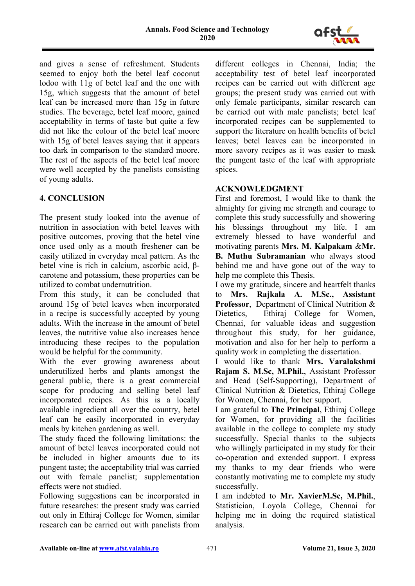

and gives a sense of refreshment. Students seemed to enjoy both the betel leaf coconut lodoo with 11g of betel leaf and the one with 15g, which suggests that the amount of betel leaf can be increased more than 15g in future studies. The beverage, betel leaf moore, gained acceptability in terms of taste but quite a few did not like the colour of the betel leaf moore with 15g of betel leaves saying that it appears too dark in comparison to the standard moore. The rest of the aspects of the betel leaf moore were well accepted by the panelists consisting of young adults.

# **4. CONCLUSION**

The present study looked into the avenue of nutrition in association with betel leaves with positive outcomes, proving that the betel vine once used only as a mouth freshener can be easily utilized in everyday meal pattern. As the betel vine is rich in calcium, ascorbic acid, βcarotene and potassium, these properties can be utilized to combat undernutrition.

From this study, it can be concluded that around 15g of betel leaves when incorporated in a recipe is successfully accepted by young adults. With the increase in the amount of betel leaves, the nutritive value also increases hence introducing these recipes to the population would be helpful for the community.

With the ever growing awareness about underutilized herbs and plants amongst the general public, there is a great commercial scope for producing and selling betel leaf incorporated recipes. As this is a locally available ingredient all over the country, betel leaf can be easily incorporated in everyday meals by kitchen gardening as well.

The study faced the following limitations: the amount of betel leaves incorporated could not be included in higher amounts due to its pungent taste; the acceptability trial was carried out with female panelist; supplementation effects were not studied.

Following suggestions can be incorporated in future researches: the present study was carried out only in Ethiraj College for Women, similar research can be carried out with panelists from

different colleges in Chennai, India; the acceptability test of betel leaf incorporated recipes can be carried out with different age groups; the present study was carried out with only female participants, similar research can be carried out with male panelists; betel leaf incorporated recipes can be supplemented to support the literature on health benefits of betel leaves; betel leaves can be incorporated in more savory recipes as it was easier to mask the pungent taste of the leaf with appropriate spices.

# **ACKNOWLEDGMENT**

First and foremost, I would like to thank the almighty for giving me strength and courage to complete this study successfully and showering his blessings throughout my life. I am extremely blessed to have wonderful and motivating parents **Mrs. M. Kalpakam** &**Mr. B. Muthu Subramanian** who always stood behind me and have gone out of the way to help me complete this Thesis.

I owe my gratitude, sincere and heartfelt thanks to **Mrs. Rajkala A. M.Sc., Assistant Professor**, Department of Clinical Nutrition & Dietetics, Ethiraj College for Women, Chennai, for valuable ideas and suggestion throughout this study, for her guidance, motivation and also for her help to perform a quality work in completing the dissertation.

I would like to thank **Mrs. Varalakshmi Rajam S. M.Sc, M.Phil.**, Assistant Professor and Head (Self-Supporting), Department of Clinical Nutrition & Dietetics, Ethiraj College for Women, Chennai, for her support.

I am grateful to **The Principal**, Ethiraj College for Women, for providing all the facilities available in the college to complete my study successfully. Special thanks to the subjects who willingly participated in my study for their co-operation and extended support. I express my thanks to my dear friends who were constantly motivating me to complete my study successfully.

I am indebted to **Mr. XavierM.Sc, M.Phil.**, Statistician, Loyola College, Chennai for helping me in doing the required statistical analysis.